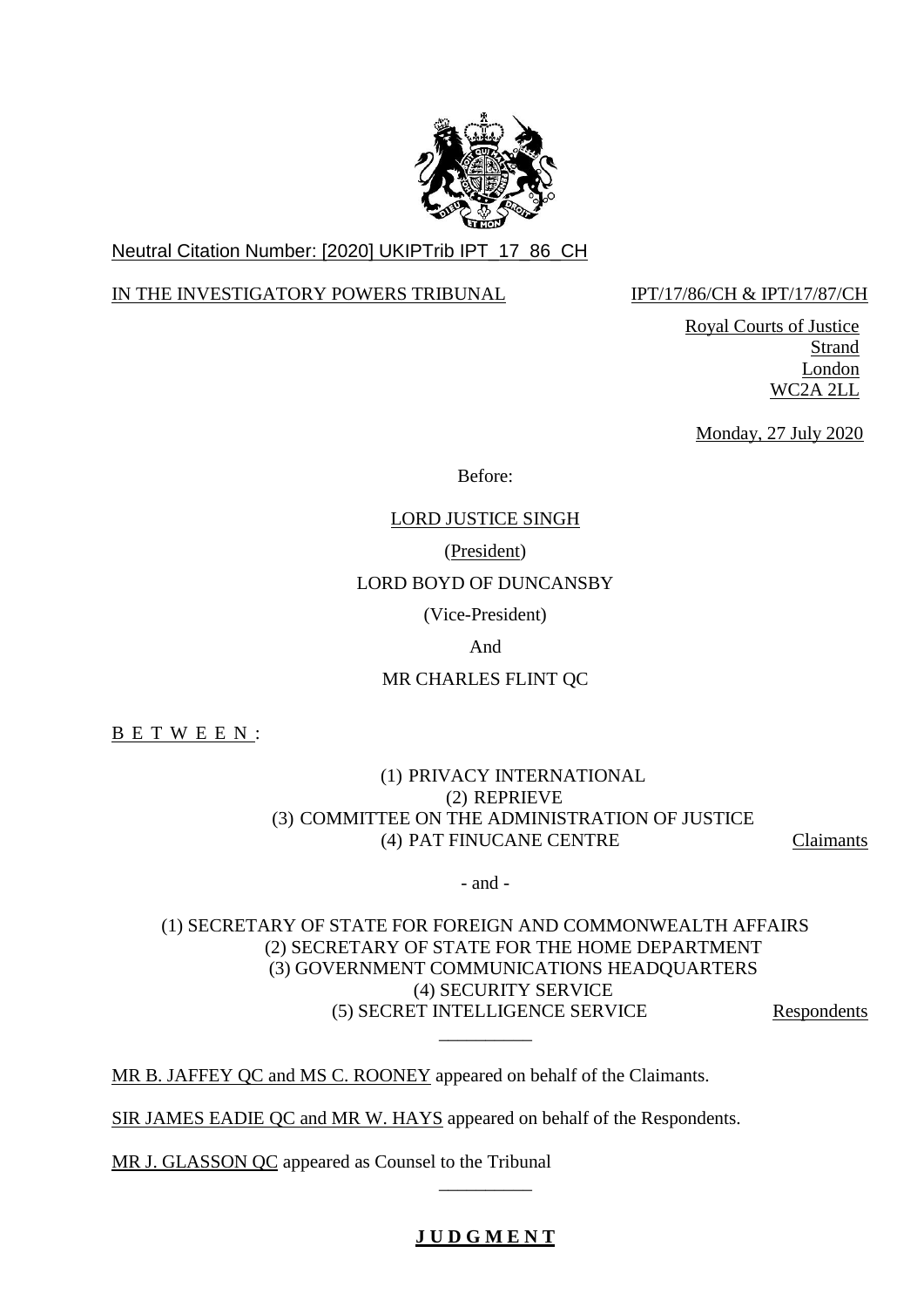

# Neutral Citation Number: [2020] UKIPTrib IPT\_17\_86\_CH

## IN THE INVESTIGATORY POWERS TRIBUNAL IPT/17/86/CH & IPT/17/87/CH

Royal Courts of Justice Strand London WC2A 2LL

Monday, 27 July 2020

Before:

## LORD JUSTICE SINGH

## (President)

## LORD BOYD OF DUNCANSBY

(Vice-President)

And

# MR CHARLES FLINT QC

B E T W E E N :

## (1) PRIVACY INTERNATIONAL (2) REPRIEVE (3) COMMITTEE ON THE ADMINISTRATION OF JUSTICE (4) PAT FINUCANE CENTRE Claimants

- and -

## (1) SECRETARY OF STATE FOR FOREIGN AND COMMONWEALTH AFFAIRS (2) SECRETARY OF STATE FOR THE HOME DEPARTMENT (3) GOVERNMENT COMMUNICATIONS HEADQUARTERS (4) SECURITY SERVICE (5) SECRET INTELLIGENCE SERVICE Respondents  $\overline{\phantom{a}}$

MR B. JAFFEY QC and MS C. ROONEY appeared on behalf of the Claimants.

SIR JAMES EADIE QC and MR W. HAYS appeared on behalf of the Respondents.

MR J. GLASSON QC appeared as Counsel to the Tribunal

# **J U D G M E N T**

\_\_\_\_\_\_\_\_\_\_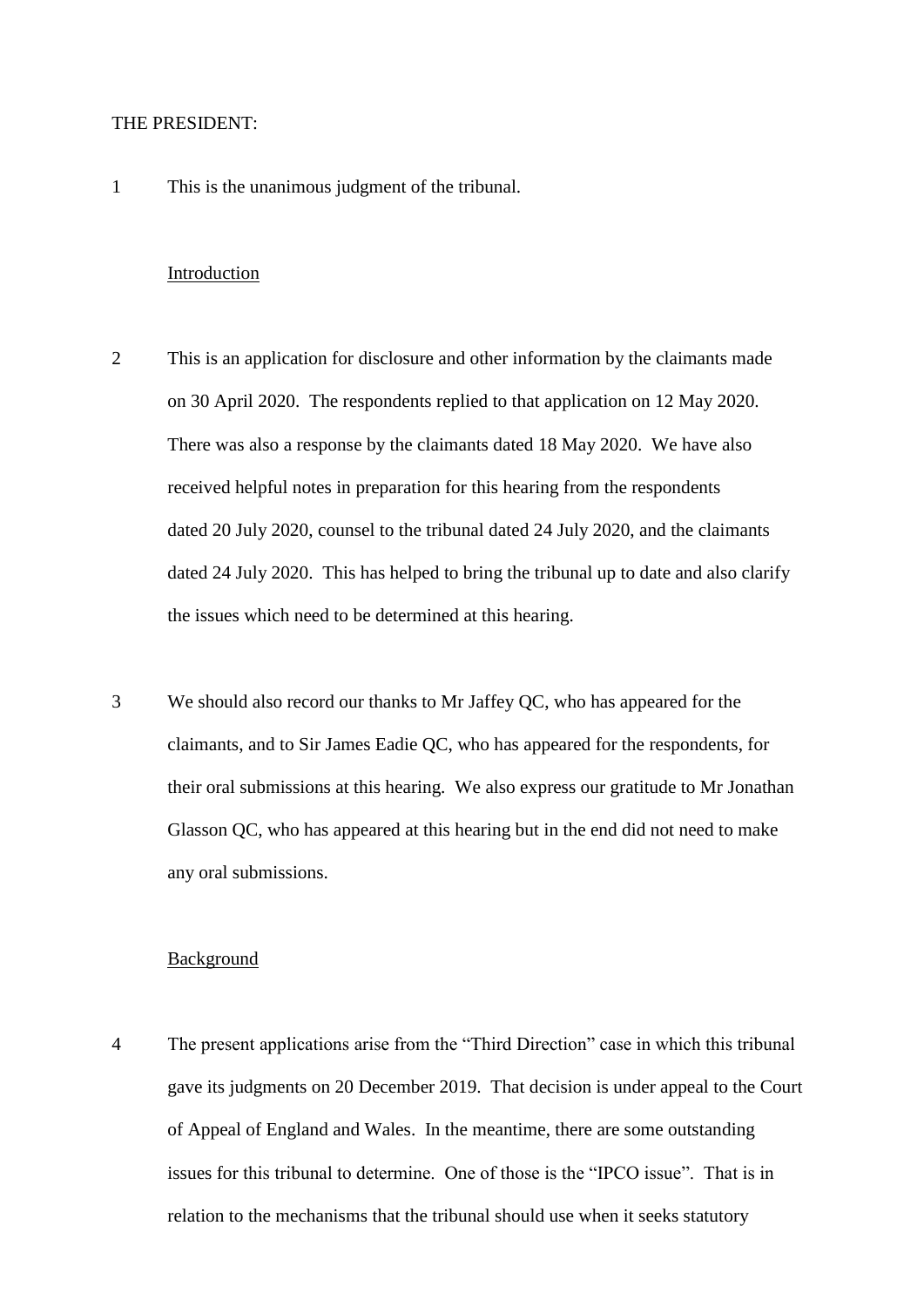#### THE PRESIDENT:

1 This is the unanimous judgment of the tribunal.

#### Introduction

- 2 This is an application for disclosure and other information by the claimants made on 30 April 2020. The respondents replied to that application on 12 May 2020. There was also a response by the claimants dated 18 May 2020. We have also received helpful notes in preparation for this hearing from the respondents dated 20 July 2020, counsel to the tribunal dated 24 July 2020, and the claimants dated 24 July 2020. This has helped to bring the tribunal up to date and also clarify the issues which need to be determined at this hearing.
- 3 We should also record our thanks to Mr Jaffey QC, who has appeared for the claimants, and to Sir James Eadie QC, who has appeared for the respondents, for their oral submissions at this hearing. We also express our gratitude to Mr Jonathan Glasson QC, who has appeared at this hearing but in the end did not need to make any oral submissions.

#### Background

4 The present applications arise from the "Third Direction" case in which this tribunal gave its judgments on 20 December 2019. That decision is under appeal to the Court of Appeal of England and Wales. In the meantime, there are some outstanding issues for this tribunal to determine. One of those is the "IPCO issue". That is in relation to the mechanisms that the tribunal should use when it seeks statutory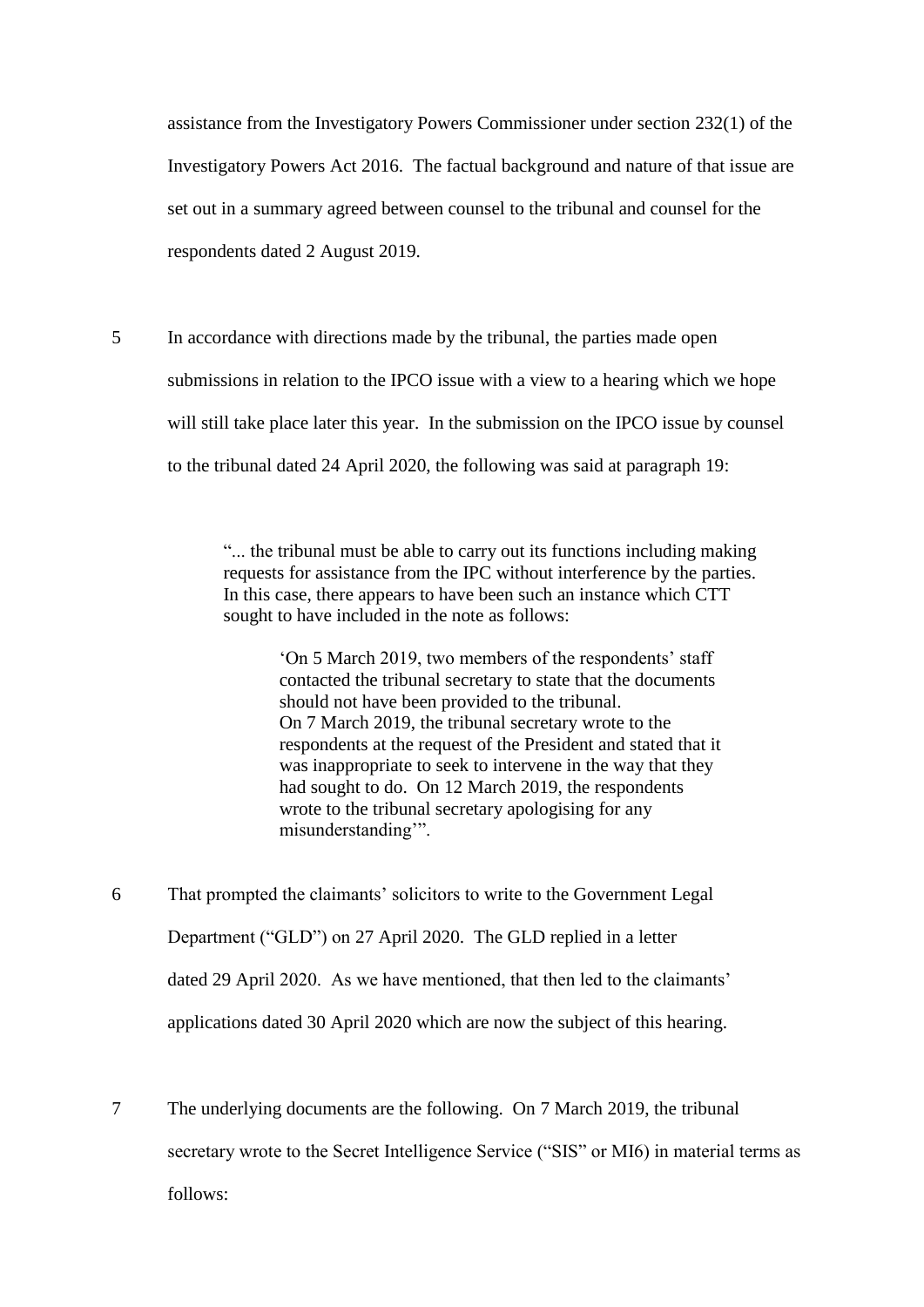assistance from the Investigatory Powers Commissioner under section 232(1) of the Investigatory Powers Act 2016. The factual background and nature of that issue are set out in a summary agreed between counsel to the tribunal and counsel for the respondents dated 2 August 2019.

5 In accordance with directions made by the tribunal, the parties made open submissions in relation to the IPCO issue with a view to a hearing which we hope will still take place later this year. In the submission on the IPCO issue by counsel to the tribunal dated 24 April 2020, the following was said at paragraph 19:

> "... the tribunal must be able to carry out its functions including making requests for assistance from the IPC without interference by the parties. In this case, there appears to have been such an instance which CTT sought to have included in the note as follows:

> > 'On 5 March 2019, two members of the respondents' staff contacted the tribunal secretary to state that the documents should not have been provided to the tribunal. On 7 March 2019, the tribunal secretary wrote to the respondents at the request of the President and stated that it was inappropriate to seek to intervene in the way that they had sought to do. On 12 March 2019, the respondents wrote to the tribunal secretary apologising for any misunderstanding'".

6 That prompted the claimants' solicitors to write to the Government Legal Department ("GLD") on 27 April 2020. The GLD replied in a letter dated 29 April 2020. As we have mentioned, that then led to the claimants' applications dated 30 April 2020 which are now the subject of this hearing.

7 The underlying documents are the following. On 7 March 2019, the tribunal secretary wrote to the Secret Intelligence Service ("SIS" or MI6) in material terms as follows: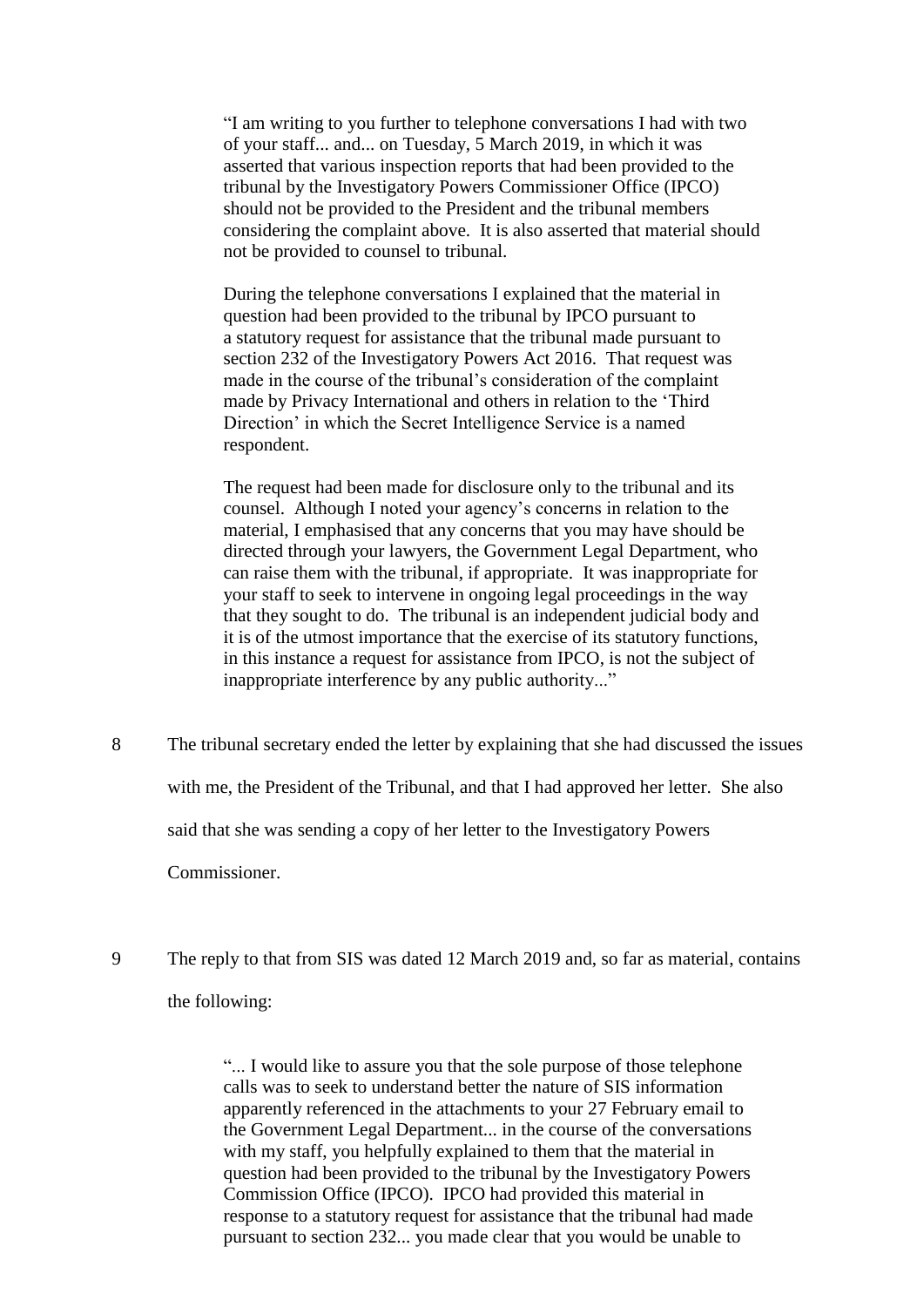"I am writing to you further to telephone conversations I had with two of your staff... and... on Tuesday, 5 March 2019, in which it was asserted that various inspection reports that had been provided to the tribunal by the Investigatory Powers Commissioner Office (IPCO) should not be provided to the President and the tribunal members considering the complaint above. It is also asserted that material should not be provided to counsel to tribunal.

During the telephone conversations I explained that the material in question had been provided to the tribunal by IPCO pursuant to a statutory request for assistance that the tribunal made pursuant to section 232 of the Investigatory Powers Act 2016. That request was made in the course of the tribunal's consideration of the complaint made by Privacy International and others in relation to the 'Third Direction' in which the Secret Intelligence Service is a named respondent.

The request had been made for disclosure only to the tribunal and its counsel. Although I noted your agency's concerns in relation to the material, I emphasised that any concerns that you may have should be directed through your lawyers, the Government Legal Department, who can raise them with the tribunal, if appropriate. It was inappropriate for your staff to seek to intervene in ongoing legal proceedings in the way that they sought to do. The tribunal is an independent judicial body and it is of the utmost importance that the exercise of its statutory functions, in this instance a request for assistance from IPCO, is not the subject of inappropriate interference by any public authority..."

- 8 The tribunal secretary ended the letter by explaining that she had discussed the issues with me, the President of the Tribunal, and that I had approved her letter. She also said that she was sending a copy of her letter to the Investigatory Powers Commissioner.
- 9 The reply to that from SIS was dated 12 March 2019 and, so far as material, contains the following:

"... I would like to assure you that the sole purpose of those telephone calls was to seek to understand better the nature of SIS information apparently referenced in the attachments to your 27 February email to the Government Legal Department... in the course of the conversations with my staff, you helpfully explained to them that the material in question had been provided to the tribunal by the Investigatory Powers Commission Office (IPCO). IPCO had provided this material in response to a statutory request for assistance that the tribunal had made pursuant to section 232... you made clear that you would be unable to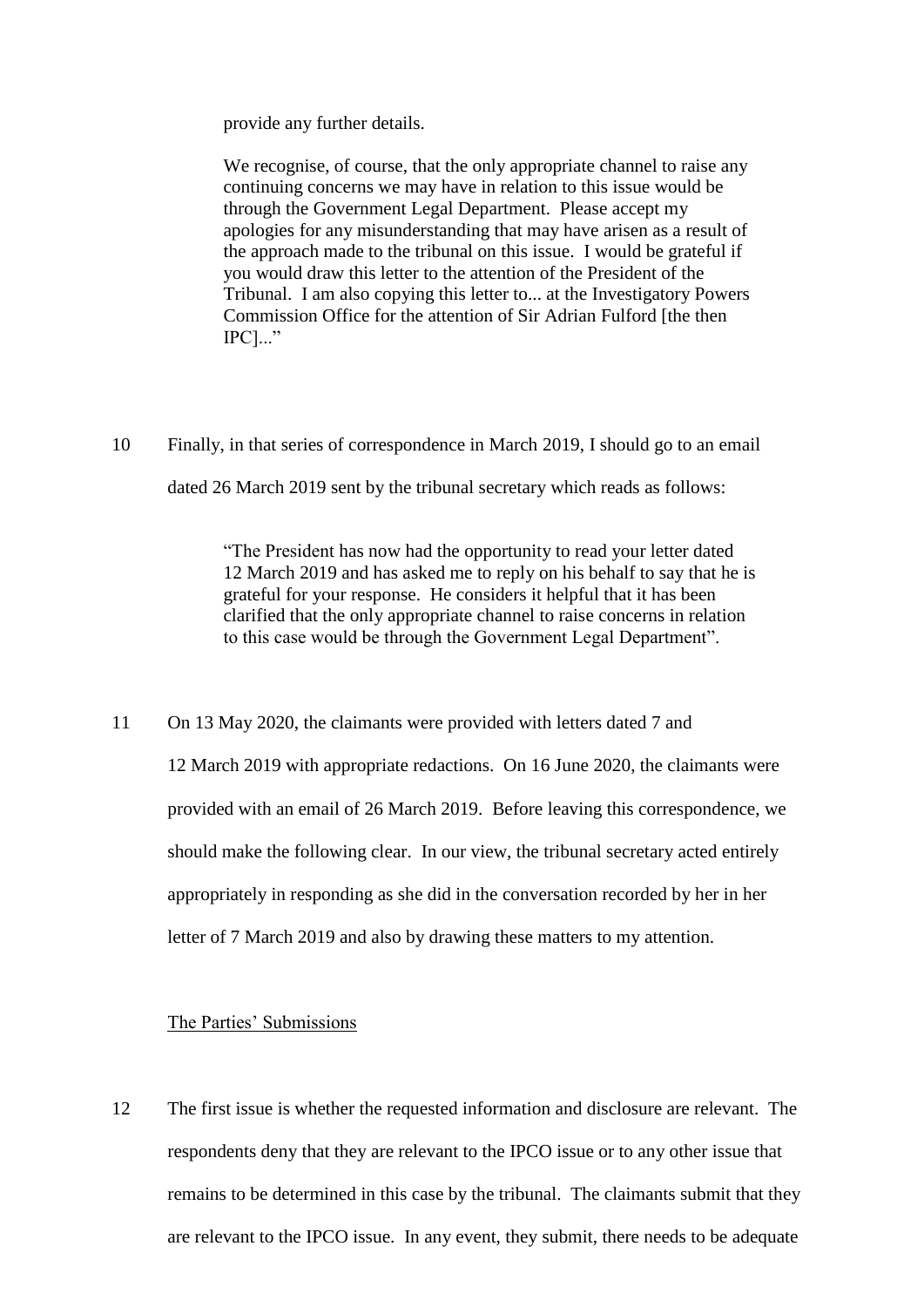provide any further details.

We recognise, of course, that the only appropriate channel to raise any continuing concerns we may have in relation to this issue would be through the Government Legal Department. Please accept my apologies for any misunderstanding that may have arisen as a result of the approach made to the tribunal on this issue. I would be grateful if you would draw this letter to the attention of the President of the Tribunal. I am also copying this letter to... at the Investigatory Powers Commission Office for the attention of Sir Adrian Fulford [the then IPC]..."

10 Finally, in that series of correspondence in March 2019, I should go to an email dated 26 March 2019 sent by the tribunal secretary which reads as follows:

> "The President has now had the opportunity to read your letter dated 12 March 2019 and has asked me to reply on his behalf to say that he is grateful for your response. He considers it helpful that it has been clarified that the only appropriate channel to raise concerns in relation to this case would be through the Government Legal Department".

11 On 13 May 2020, the claimants were provided with letters dated 7 and 12 March 2019 with appropriate redactions. On 16 June 2020, the claimants were provided with an email of 26 March 2019. Before leaving this correspondence, we should make the following clear. In our view, the tribunal secretary acted entirely appropriately in responding as she did in the conversation recorded by her in her letter of 7 March 2019 and also by drawing these matters to my attention.

#### The Parties' Submissions

12 The first issue is whether the requested information and disclosure are relevant. The respondents deny that they are relevant to the IPCO issue or to any other issue that remains to be determined in this case by the tribunal. The claimants submit that they are relevant to the IPCO issue. In any event, they submit, there needs to be adequate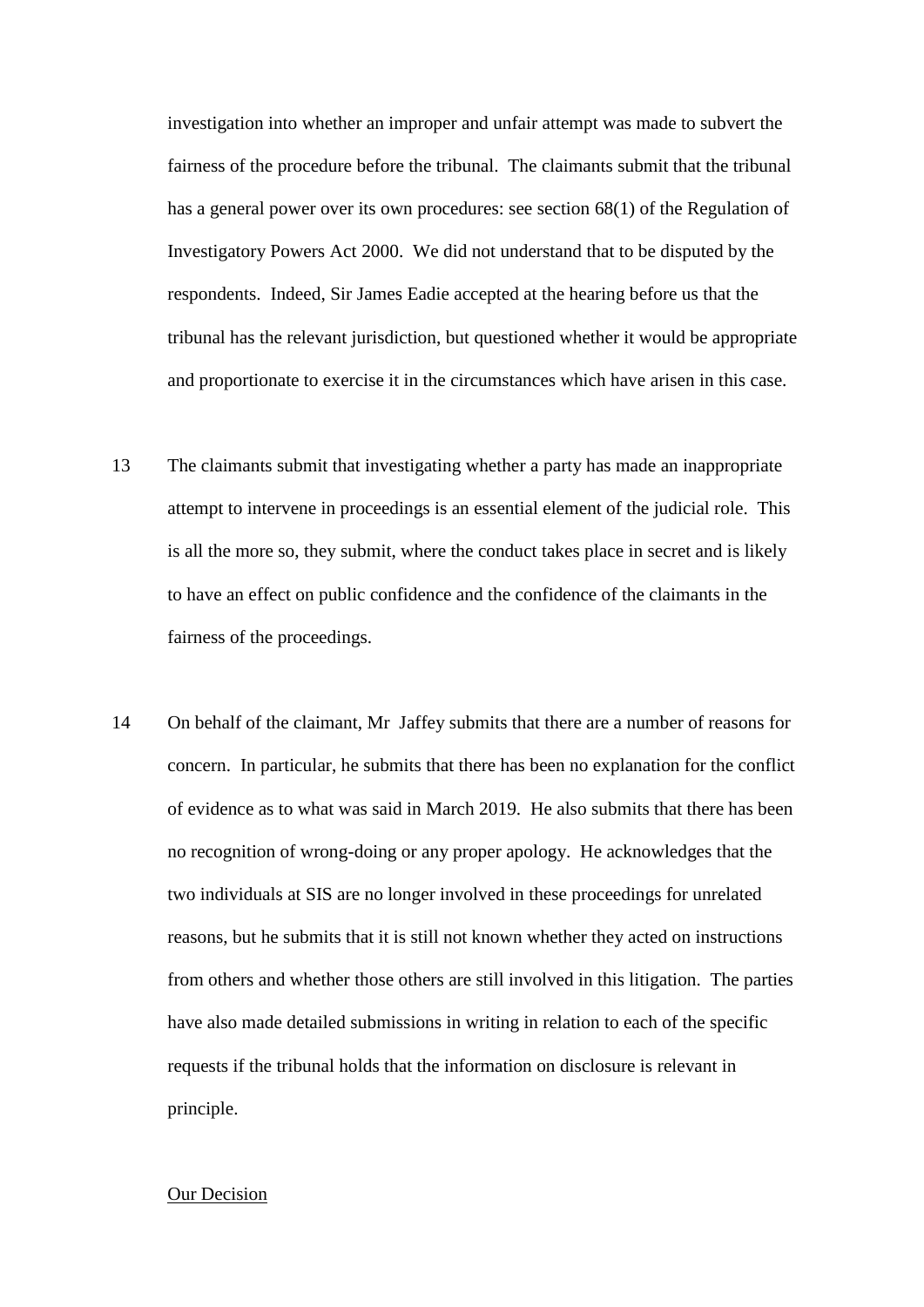investigation into whether an improper and unfair attempt was made to subvert the fairness of the procedure before the tribunal. The claimants submit that the tribunal has a general power over its own procedures: see section 68(1) of the Regulation of Investigatory Powers Act 2000. We did not understand that to be disputed by the respondents. Indeed, Sir James Eadie accepted at the hearing before us that the tribunal has the relevant jurisdiction, but questioned whether it would be appropriate and proportionate to exercise it in the circumstances which have arisen in this case.

- 13 The claimants submit that investigating whether a party has made an inappropriate attempt to intervene in proceedings is an essential element of the judicial role. This is all the more so, they submit, where the conduct takes place in secret and is likely to have an effect on public confidence and the confidence of the claimants in the fairness of the proceedings.
- 14 On behalf of the claimant, Mr Jaffey submits that there are a number of reasons for concern. In particular, he submits that there has been no explanation for the conflict of evidence as to what was said in March 2019. He also submits that there has been no recognition of wrong-doing or any proper apology. He acknowledges that the two individuals at SIS are no longer involved in these proceedings for unrelated reasons, but he submits that it is still not known whether they acted on instructions from others and whether those others are still involved in this litigation. The parties have also made detailed submissions in writing in relation to each of the specific requests if the tribunal holds that the information on disclosure is relevant in principle.

#### Our Decision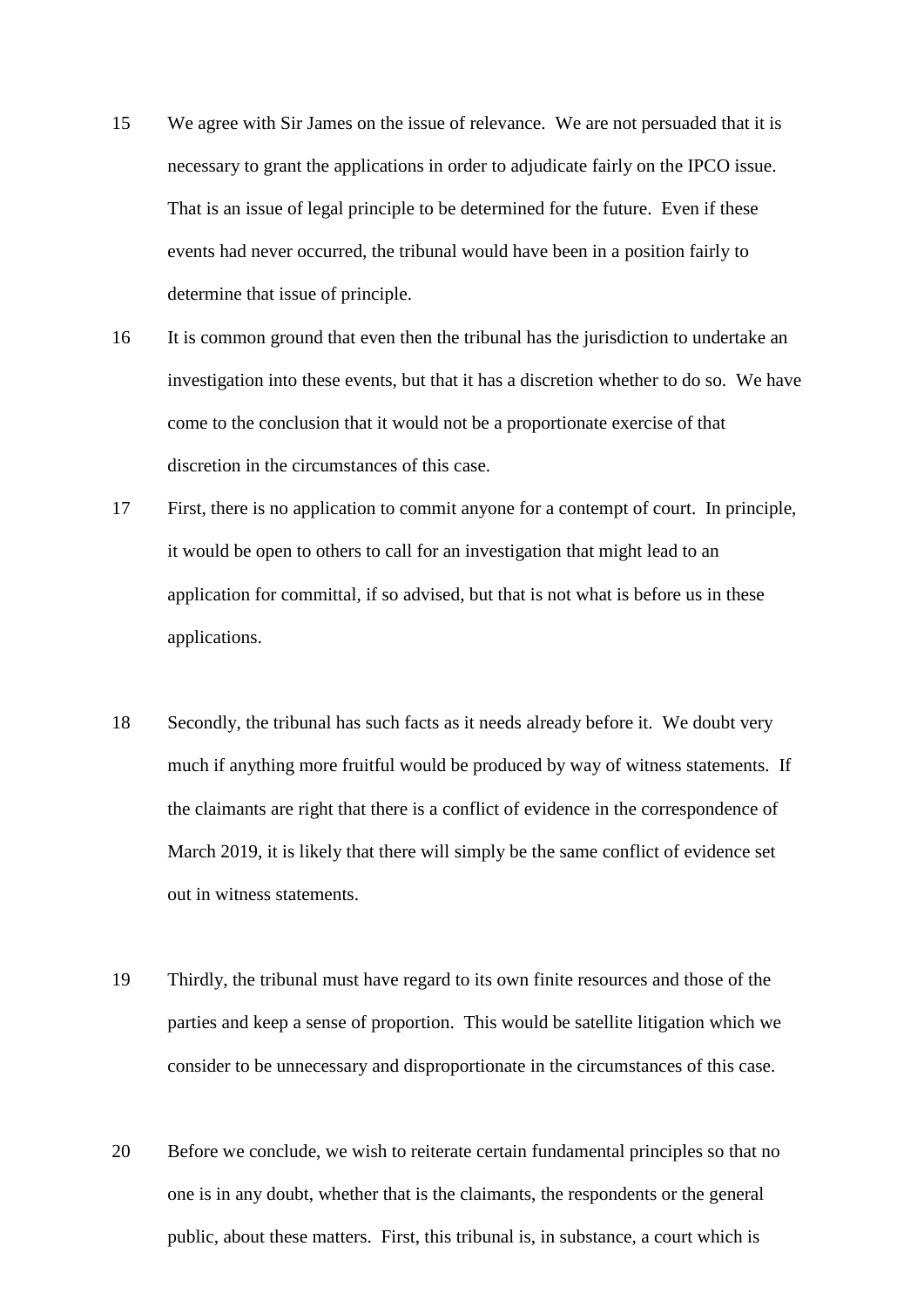- 15 We agree with Sir James on the issue of relevance. We are not persuaded that it is necessary to grant the applications in order to adjudicate fairly on the IPCO issue. That is an issue of legal principle to be determined for the future. Even if these events had never occurred, the tribunal would have been in a position fairly to determine that issue of principle.
- 16 It is common ground that even then the tribunal has the jurisdiction to undertake an investigation into these events, but that it has a discretion whether to do so. We have come to the conclusion that it would not be a proportionate exercise of that discretion in the circumstances of this case.
- 17 First, there is no application to commit anyone for a contempt of court. In principle, it would be open to others to call for an investigation that might lead to an application for committal, if so advised, but that is not what is before us in these applications.
- 18 Secondly, the tribunal has such facts as it needs already before it. We doubt very much if anything more fruitful would be produced by way of witness statements. If the claimants are right that there is a conflict of evidence in the correspondence of March 2019, it is likely that there will simply be the same conflict of evidence set out in witness statements.
- 19 Thirdly, the tribunal must have regard to its own finite resources and those of the parties and keep a sense of proportion. This would be satellite litigation which we consider to be unnecessary and disproportionate in the circumstances of this case.
- 20 Before we conclude, we wish to reiterate certain fundamental principles so that no one is in any doubt, whether that is the claimants, the respondents or the general public, about these matters. First, this tribunal is, in substance, a court which is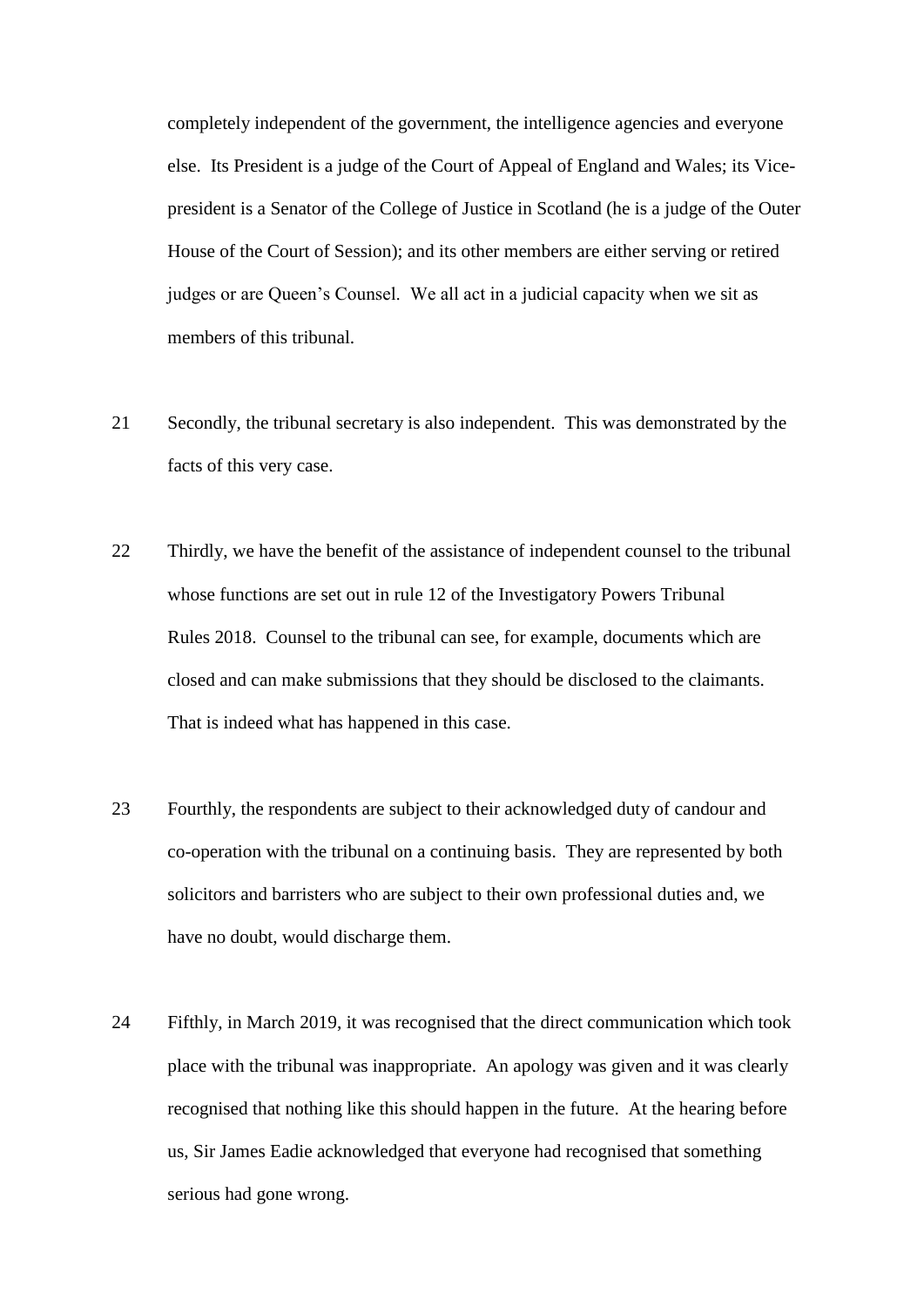completely independent of the government, the intelligence agencies and everyone else. Its President is a judge of the Court of Appeal of England and Wales; its Vicepresident is a Senator of the College of Justice in Scotland (he is a judge of the Outer House of the Court of Session); and its other members are either serving or retired judges or are Queen's Counsel. We all act in a judicial capacity when we sit as members of this tribunal.

- 21 Secondly, the tribunal secretary is also independent. This was demonstrated by the facts of this very case.
- 22 Thirdly, we have the benefit of the assistance of independent counsel to the tribunal whose functions are set out in rule 12 of the Investigatory Powers Tribunal Rules 2018. Counsel to the tribunal can see, for example, documents which are closed and can make submissions that they should be disclosed to the claimants. That is indeed what has happened in this case.
- 23 Fourthly, the respondents are subject to their acknowledged duty of candour and co-operation with the tribunal on a continuing basis. They are represented by both solicitors and barristers who are subject to their own professional duties and, we have no doubt, would discharge them.
- 24 Fifthly, in March 2019, it was recognised that the direct communication which took place with the tribunal was inappropriate. An apology was given and it was clearly recognised that nothing like this should happen in the future. At the hearing before us, Sir James Eadie acknowledged that everyone had recognised that something serious had gone wrong.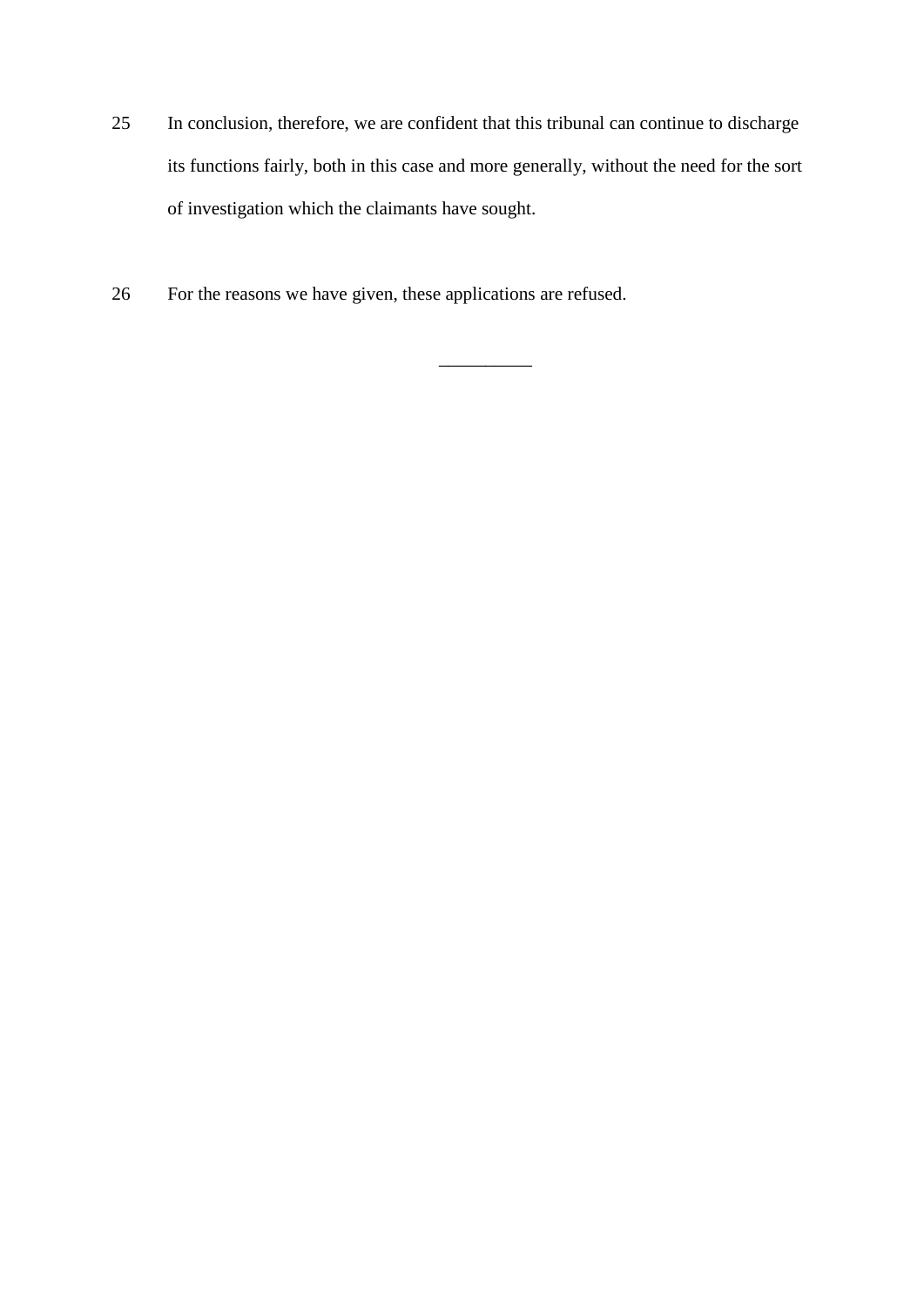25 In conclusion, therefore, we are confident that this tribunal can continue to discharge its functions fairly, both in this case and more generally, without the need for the sort of investigation which the claimants have sought.

\_\_\_\_\_\_\_\_\_\_

26 For the reasons we have given, these applications are refused.